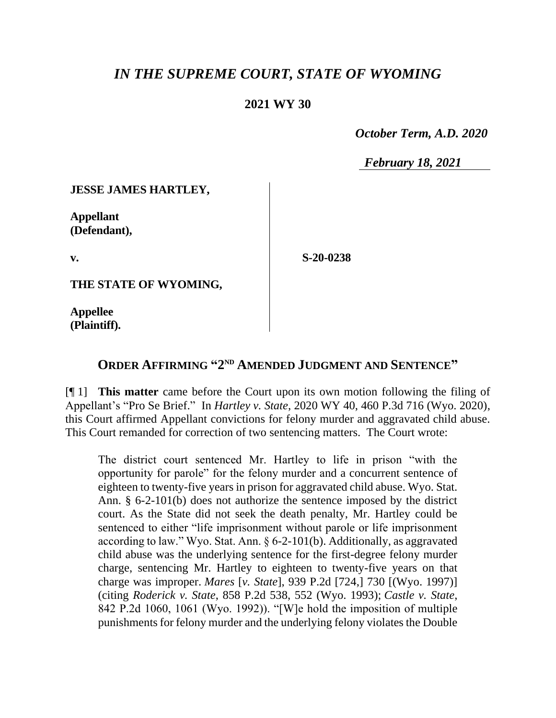## *IN THE SUPREME COURT, STATE OF WYOMING*

## **2021 WY 30**

 *October Term, A.D. 2020*

*February 18, 2021*

**JESSE JAMES HARTLEY,**

**Appellant (Defendant),**

**v.**

**S-20-0238**

**THE STATE OF WYOMING,**

**Appellee (Plaintiff).**

## **ORDER AFFIRMING "2 ND AMENDED JUDGMENT AND SENTENCE"**

[¶ 1] **This matter** came before the Court upon its own motion following the filing of Appellant's "Pro Se Brief." In *Hartley v. State*, 2020 WY 40, 460 P.3d 716 (Wyo. 2020), this Court affirmed Appellant convictions for felony murder and aggravated child abuse. This Court remanded for correction of two sentencing matters. The Court wrote:

The district court sentenced Mr. Hartley to life in prison "with the opportunity for parole" for the felony murder and a concurrent sentence of eighteen to twenty-five years in prison for aggravated child abuse. Wyo. Stat. Ann. § 6-2-101(b) does not authorize the sentence imposed by the district court. As the State did not seek the death penalty, Mr. Hartley could be sentenced to either "life imprisonment without parole or life imprisonment according to law." Wyo. Stat. Ann. § 6-2-101(b). Additionally, as aggravated child abuse was the underlying sentence for the first-degree felony murder charge, sentencing Mr. Hartley to eighteen to twenty-five years on that charge was improper. *Mares* [*v. State*], 939 P.2d [724,] 730 [(Wyo. 1997)] (citing *Roderick v. State*, 858 P.2d 538, 552 (Wyo. 1993); *Castle v. State*, 842 P.2d 1060, 1061 (Wyo. 1992)). "[W]e hold the imposition of multiple punishments for felony murder and the underlying felony violates the Double